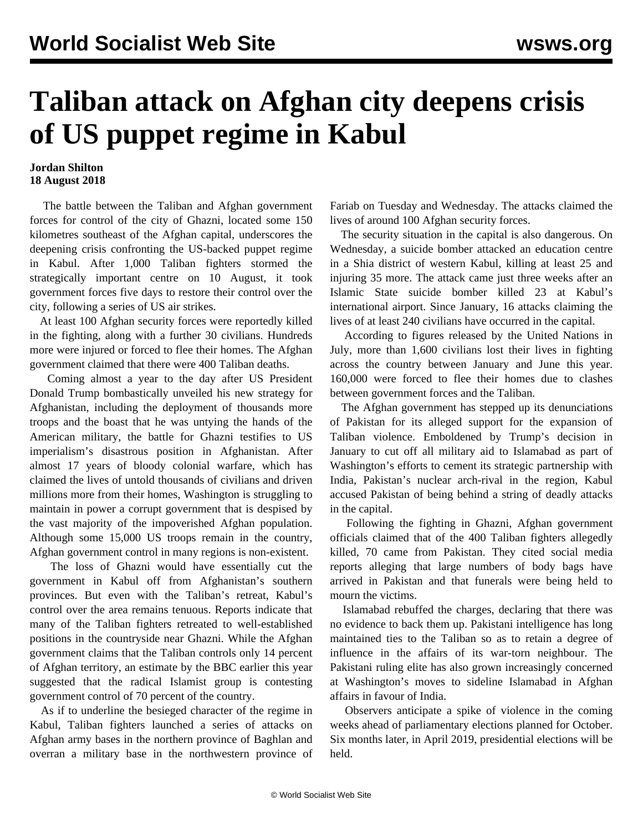## **Taliban attack on Afghan city deepens crisis of US puppet regime in Kabul**

## **Jordan Shilton 18 August 2018**

 The battle between the Taliban and Afghan government forces for control of the city of Ghazni, located some 150 kilometres southeast of the Afghan capital, underscores the deepening crisis confronting the US-backed puppet regime in Kabul. After 1,000 Taliban fighters stormed the strategically important centre on 10 August, it took government forces five days to restore their control over the city, following a series of US air strikes.

 At least 100 Afghan security forces were reportedly killed in the fighting, along with a further 30 civilians. Hundreds more were injured or forced to flee their homes. The Afghan government claimed that there were 400 Taliban deaths.

 Coming almost a year to the day after US President Donald Trump bombastically unveiled his new strategy for Afghanistan, including the deployment of thousands more troops and the boast that he was untying the hands of the American military, the battle for Ghazni testifies to US imperialism's disastrous position in Afghanistan. After almost 17 years of bloody colonial warfare, which has claimed the lives of untold thousands of civilians and driven millions more from their homes, Washington is struggling to maintain in power a corrupt government that is despised by the vast majority of the impoverished Afghan population. Although some 15,000 US troops remain in the country, Afghan government control in many regions is non-existent.

 The loss of Ghazni would have essentially cut the government in Kabul off from Afghanistan's southern provinces. But even with the Taliban's retreat, Kabul's control over the area remains tenuous. Reports indicate that many of the Taliban fighters retreated to well-established positions in the countryside near Ghazni. While the Afghan government claims that the Taliban controls only 14 percent of Afghan territory, an estimate by the BBC earlier this year suggested that the radical Islamist group is contesting government control of 70 percent of the country.

 As if to underline the besieged character of the regime in Kabul, Taliban fighters launched a series of attacks on Afghan army bases in the northern province of Baghlan and overran a military base in the northwestern province of Fariab on Tuesday and Wednesday. The attacks claimed the lives of around 100 Afghan security forces.

 The security situation in the capital is also dangerous. On Wednesday, a suicide bomber attacked an education centre in a Shia district of western Kabul, killing at least 25 and injuring 35 more. The attack came just three weeks after an Islamic State suicide bomber killed 23 at Kabul's international airport. Since January, 16 attacks claiming the lives of at least 240 civilians have occurred in the capital.

 According to figures released by the United Nations in July, more than 1,600 civilians lost their lives in fighting across the country between January and June this year. 160,000 were forced to flee their homes due to clashes between government forces and the Taliban.

 The Afghan government has stepped up its denunciations of Pakistan for its alleged support for the expansion of Taliban violence. Emboldened by Trump's decision in January to cut off all military aid to Islamabad as part of Washington's efforts to cement its strategic partnership with India, Pakistan's nuclear arch-rival in the region, Kabul accused Pakistan of being behind a string of deadly attacks in the capital.

 Following the fighting in Ghazni, Afghan government officials claimed that of the 400 Taliban fighters allegedly killed, 70 came from Pakistan. They cited social media reports alleging that large numbers of body bags have arrived in Pakistan and that funerals were being held to mourn the victims.

 Islamabad rebuffed the charges, declaring that there was no evidence to back them up. Pakistani intelligence has long maintained ties to the Taliban so as to retain a degree of influence in the affairs of its war-torn neighbour. The Pakistani ruling elite has also grown increasingly concerned at Washington's moves to sideline Islamabad in Afghan affairs in favour of India.

 Observers anticipate a spike of violence in the coming weeks ahead of parliamentary elections planned for October. Six months later, in April 2019, presidential elections will be held.